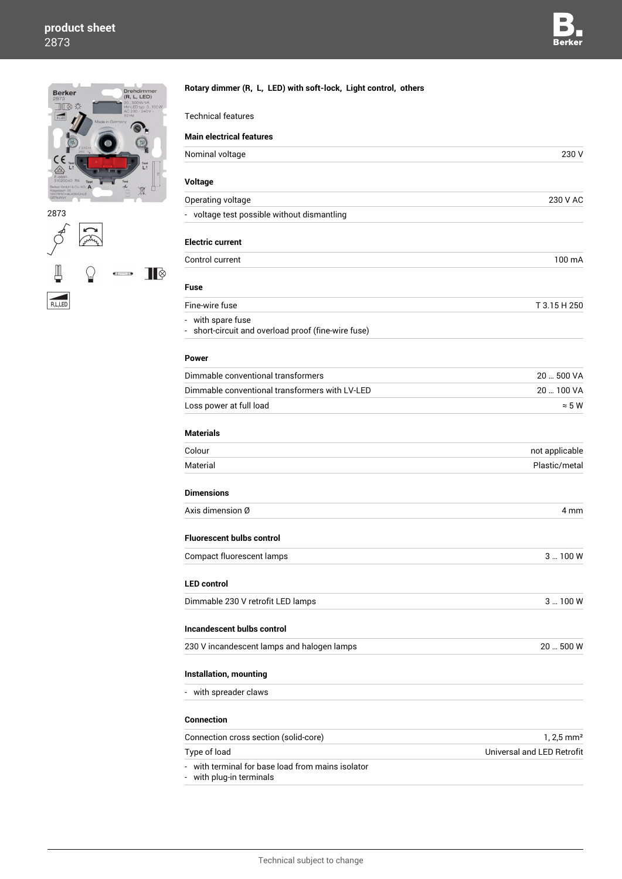# **product sheet** 2873



 $\cancel{\phi}$ **C** Links Щ  $\blacksquare$  $\sqrt{n}$  $\overline{b}$   $\rightarrow$  $\begin{array}{c}\n\hline\n\text{R,L,LED}\n\end{array}$ 

| <b>Technical features</b>                                                                             |                            |
|-------------------------------------------------------------------------------------------------------|----------------------------|
| <b>Main electrical features</b>                                                                       |                            |
| Nominal voltage                                                                                       | 230 V                      |
|                                                                                                       |                            |
| Voltage                                                                                               |                            |
| Operating voltage                                                                                     | 230 V AC                   |
| - voltage test possible without dismantling                                                           |                            |
| <b>Electric current</b>                                                                               |                            |
| Control current                                                                                       | 100 mA                     |
|                                                                                                       |                            |
| <b>Fuse</b>                                                                                           |                            |
| Fine-wire fuse                                                                                        | T 3.15 H 250               |
| - with spare fuse<br>- short-circuit and overload proof (fine-wire fuse)                              |                            |
| Power                                                                                                 |                            |
| Dimmable conventional transformers                                                                    | 20  500 VA                 |
| Dimmable conventional transformers with LV-LED                                                        | 20  100 VA                 |
| Loss power at full load                                                                               | $\approx$ 5 W              |
| <b>Materials</b>                                                                                      |                            |
| Colour                                                                                                | not applicable             |
| Material                                                                                              | Plastic/metal              |
| <b>Dimensions</b>                                                                                     |                            |
| Axis dimension Ø                                                                                      | 4 mm                       |
| <b>Fluorescent bulbs control</b>                                                                      |                            |
| Compact fluorescent lamps                                                                             | 3  100 W                   |
|                                                                                                       |                            |
| <b>LED control</b>                                                                                    |                            |
| Dimmable 230 V retrofit LED lamps                                                                     | $3 - 100W$                 |
| Incandescent bulbs control                                                                            |                            |
| 230 V incandescent lamps and halogen lamps                                                            | 20  500 W                  |
| Installation, mounting                                                                                |                            |
|                                                                                                       |                            |
| - with spreader claws                                                                                 |                            |
| <b>Connection</b>                                                                                     |                            |
| Connection cross section (solid-core)                                                                 | $1, 2, 5$ mm <sup>2</sup>  |
| Type of load                                                                                          | Universal and LED Retrofit |
| with terminal for base load from mains isolator<br>with plug-in terminals<br>$\overline{\phantom{a}}$ |                            |

**Rotary dimmer (R, L, LED) with soft-lock, Light control, others**